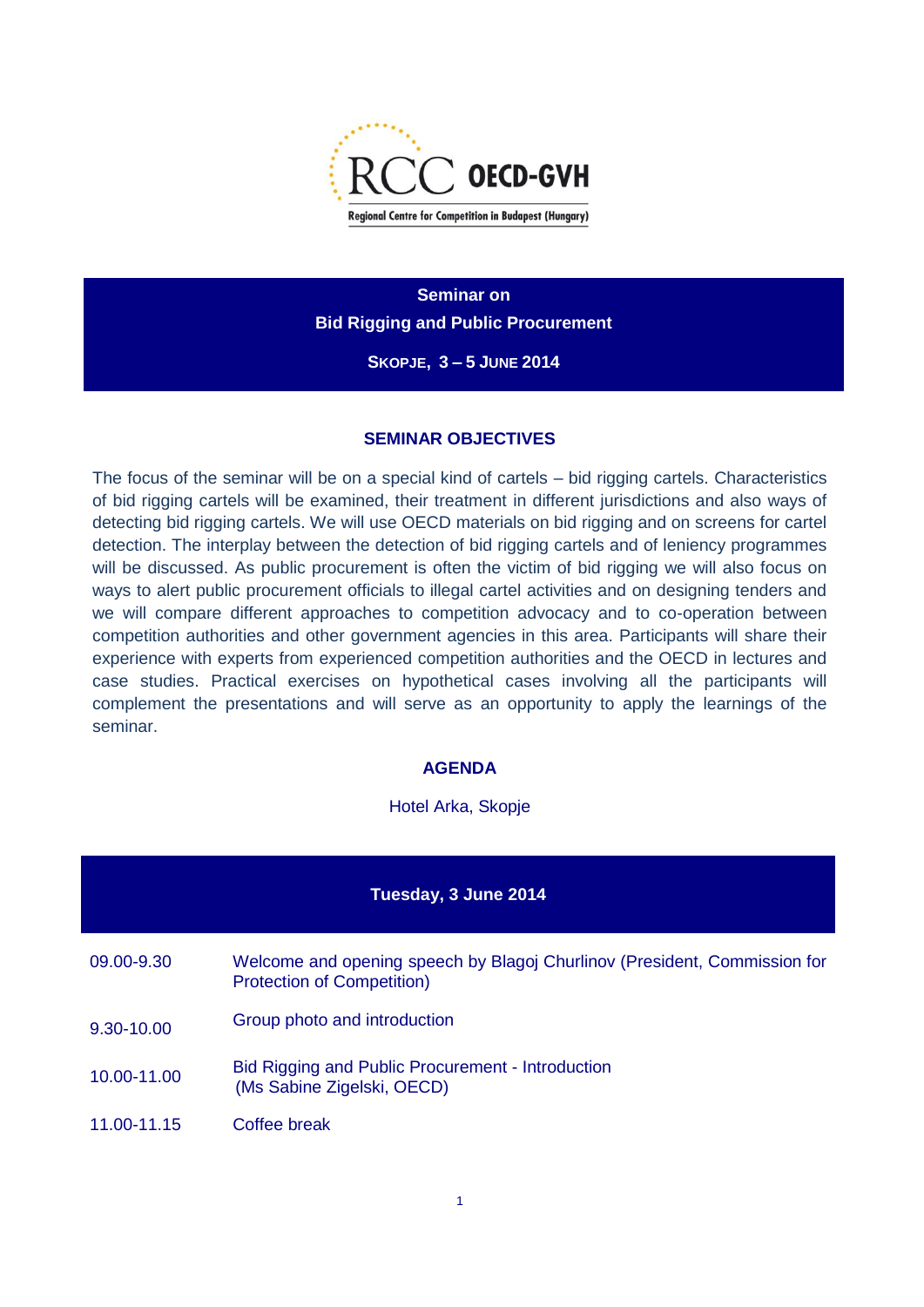

**Seminar on Bid Rigging and Public Procurement**

**SKOPJE, 3 – 5 JUNE 2014**

## **SEMINAR OBJECTIVES**

The focus of the seminar will be on a special kind of cartels – bid rigging cartels. Characteristics of bid rigging cartels will be examined, their treatment in different jurisdictions and also ways of detecting bid rigging cartels. We will use OECD materials on bid rigging and on screens for cartel detection. The interplay between the detection of bid rigging cartels and of leniency programmes will be discussed. As public procurement is often the victim of bid rigging we will also focus on ways to alert public procurement officials to illegal cartel activities and on designing tenders and we will compare different approaches to competition advocacy and to co-operation between competition authorities and other government agencies in this area. Participants will share their experience with experts from experienced competition authorities and the OECD in lectures and case studies. Practical exercises on hypothetical cases involving all the participants will complement the presentations and will serve as an opportunity to apply the learnings of the seminar.

## **AGENDA**

## Hotel Arka, Skopje

| Tuesday, 3 June 2014 |                                                                                                                |  |
|----------------------|----------------------------------------------------------------------------------------------------------------|--|
| 09.00-9.30           | Welcome and opening speech by Blagoj Churlinov (President, Commission for<br><b>Protection of Competition)</b> |  |
| 9.30-10.00           | Group photo and introduction                                                                                   |  |
| 10.00-11.00          | Bid Rigging and Public Procurement - Introduction<br>(Ms Sabine Zigelski, OECD)                                |  |
| 11.00-11.15          | Coffee break                                                                                                   |  |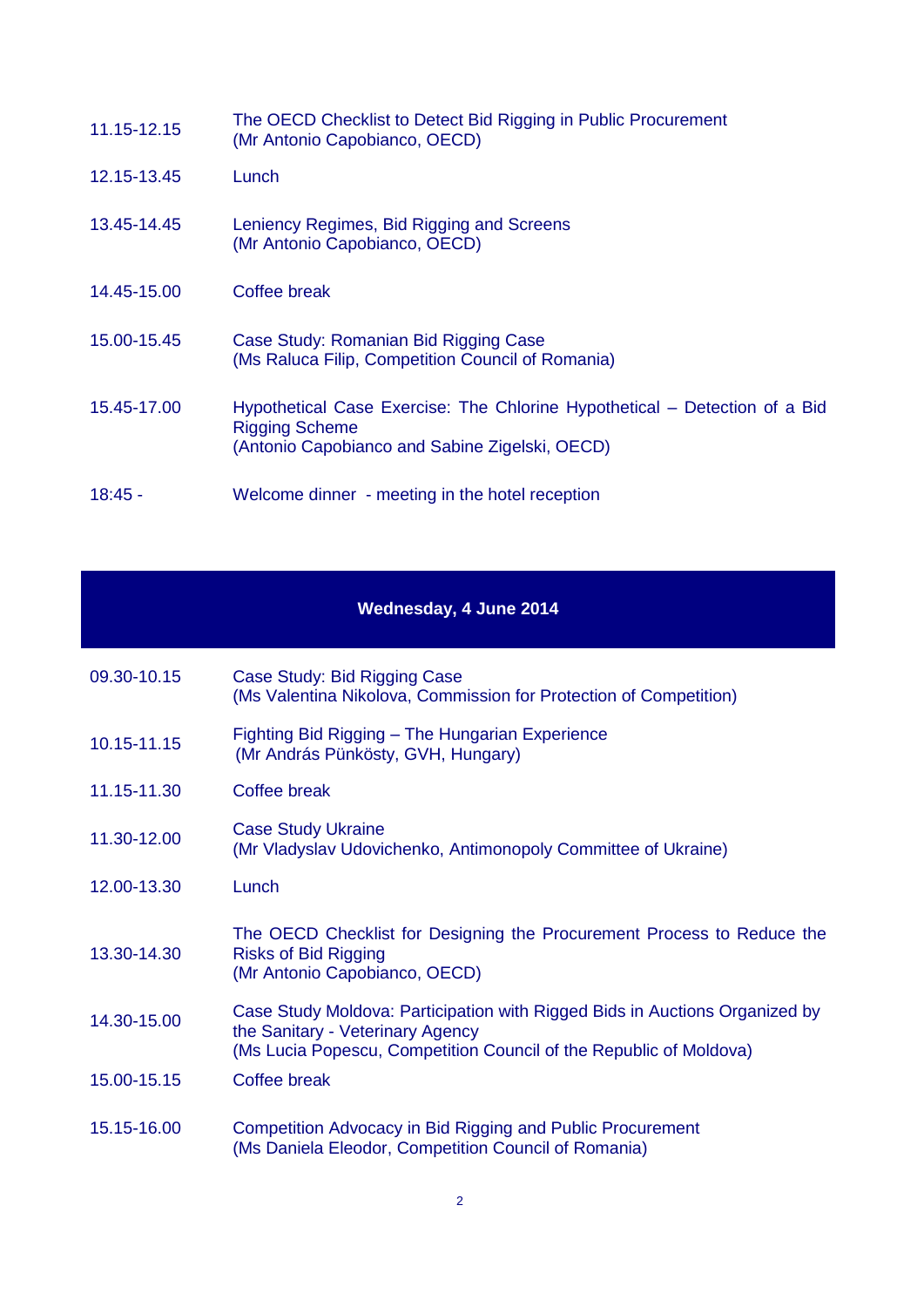| 11.15-12.15 | The OECD Checklist to Detect Bid Rigging in Public Procurement<br>(Mr Antonio Capobianco, OECD)                                                       |
|-------------|-------------------------------------------------------------------------------------------------------------------------------------------------------|
| 12.15-13.45 | Lunch                                                                                                                                                 |
| 13.45-14.45 | Leniency Regimes, Bid Rigging and Screens<br>(Mr Antonio Capobianco, OECD)                                                                            |
| 14.45-15.00 | Coffee break                                                                                                                                          |
| 15.00-15.45 | Case Study: Romanian Bid Rigging Case<br>(Ms Raluca Filip, Competition Council of Romania)                                                            |
| 15.45-17.00 | Hypothetical Case Exercise: The Chlorine Hypothetical – Detection of a Bid<br><b>Rigging Scheme</b><br>(Antonio Capobianco and Sabine Zigelski, OECD) |
| $18:45 -$   | Welcome dinner - meeting in the hotel reception                                                                                                       |

| Wednesday, 4 June 2014 |                                                                                                                                                                                       |  |
|------------------------|---------------------------------------------------------------------------------------------------------------------------------------------------------------------------------------|--|
| 09.30-10.15            | Case Study: Bid Rigging Case<br>(Ms Valentina Nikolova, Commission for Protection of Competition)                                                                                     |  |
| 10.15-11.15            | Fighting Bid Rigging - The Hungarian Experience<br>(Mr András Pünkösty, GVH, Hungary)                                                                                                 |  |
| 11.15-11.30            | <b>Coffee break</b>                                                                                                                                                                   |  |
| 11.30-12.00            | <b>Case Study Ukraine</b><br>(Mr Vladyslav Udovichenko, Antimonopoly Committee of Ukraine)                                                                                            |  |
| 12.00-13.30            | Lunch                                                                                                                                                                                 |  |
| 13.30-14.30            | The OECD Checklist for Designing the Procurement Process to Reduce the<br><b>Risks of Bid Rigging</b><br>(Mr Antonio Capobianco, OECD)                                                |  |
| 14.30-15.00            | Case Study Moldova: Participation with Rigged Bids in Auctions Organized by<br>the Sanitary - Veterinary Agency<br>(Ms Lucia Popescu, Competition Council of the Republic of Moldova) |  |
| 15.00-15.15            | <b>Coffee break</b>                                                                                                                                                                   |  |
| 15.15-16.00            | Competition Advocacy in Bid Rigging and Public Procurement<br>(Ms Daniela Eleodor, Competition Council of Romania)                                                                    |  |